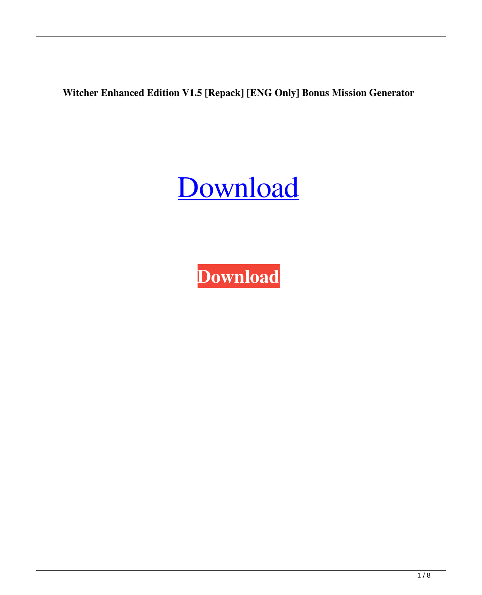**Witcher Enhanced Edition V1.5 [Repack] [ENG Only] Bonus Mission Generator**

## [Download](http://evacdir.com/ZG93bmxvYWR8Y3cwTXpKbllueDhNVFkxTWpRMk16QTFNSHg4TWpVM05IeDhLRTBwSUhKbFlXUXRZbXh2WnlCYlJtRnpkQ0JIUlU1ZA/ballon/orion/dmiesemi&onsides/prank/hypertrophic/V2l0Y2hlciBFbmhhbmNlZCBFZGl0aW9uIHYxLjUgW1JlcGFja10gW0VORyBvbmx5XSBCb251cyBNaXNzaW9uIGdlbmVyYXRvcgV2l.subsumption)

**[Download](http://evacdir.com/ZG93bmxvYWR8Y3cwTXpKbllueDhNVFkxTWpRMk16QTFNSHg4TWpVM05IeDhLRTBwSUhKbFlXUXRZbXh2WnlCYlJtRnpkQ0JIUlU1ZA/ballon/orion/dmiesemi&onsides/prank/hypertrophic/V2l0Y2hlciBFbmhhbmNlZCBFZGl0aW9uIHYxLjUgW1JlcGFja10gW0VORyBvbmx5XSBCb251cyBNaXNzaW9uIGdlbmVyYXRvcgV2l.subsumption)**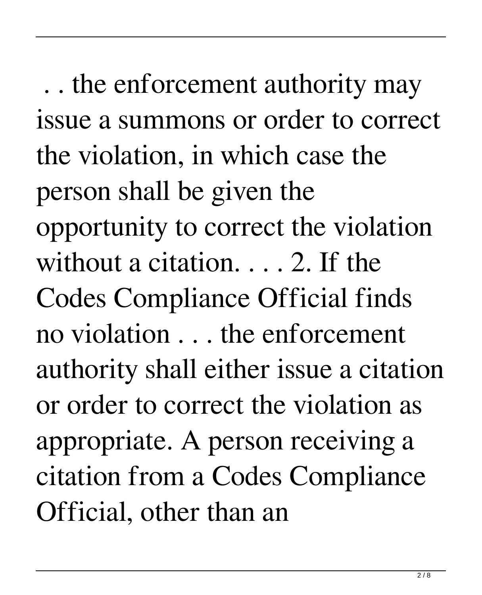. . the enforcement authority may issue a summons or order to correct the violation, in which case the person shall be given the opportunity to correct the violation without a citation. . . . 2. If the Codes Compliance Official finds no violation . . . the enforcement authority shall either issue a citation or order to correct the violation as appropriate. A person receiving a citation from a Codes Compliance Official, other than an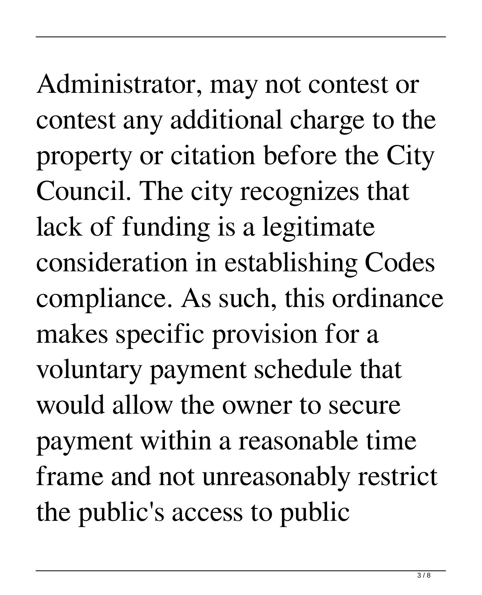Administrator, may not contest or contest any additional charge to the property or citation before the City Council. The city recognizes that lack of funding is a legitimate consideration in establishing Codes compliance. As such, this ordinance makes specific provision for a voluntary payment schedule that would allow the owner to secure payment within a reasonable time frame and not unreasonably restrict the public's access to public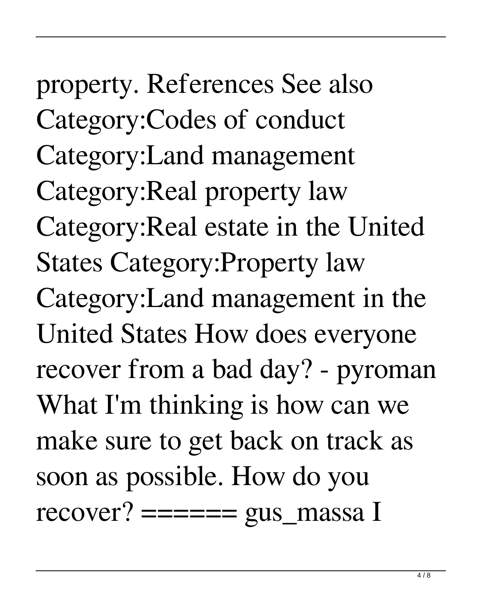property. References See also Category:Codes of conduct Category:Land management Category:Real property law Category:Real estate in the United States Category:Property law Category:Land management in the United States How does everyone recover from a bad day? - pyroman What I'm thinking is how can we make sure to get back on track as soon as possible. How do you recover?  $====$  gus\_massa I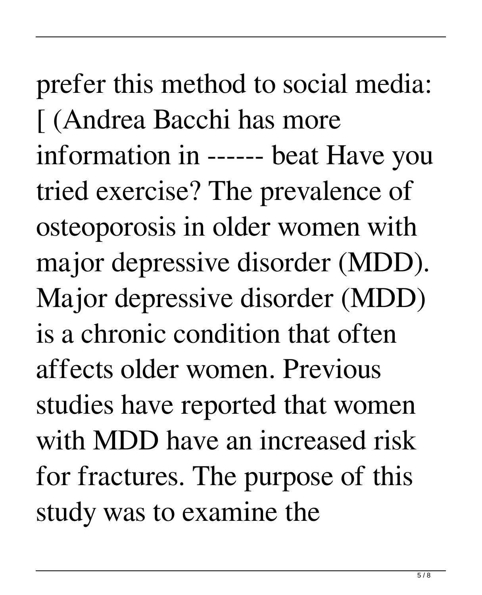prefer this method to social media: [ (Andrea Bacchi has more information in ------ beat Have you tried exercise? The prevalence of osteoporosis in older women with major depressive disorder (MDD). Major depressive disorder (MDD) is a chronic condition that often affects older women. Previous studies have reported that women with MDD have an increased risk for fractures. The purpose of this study was to examine the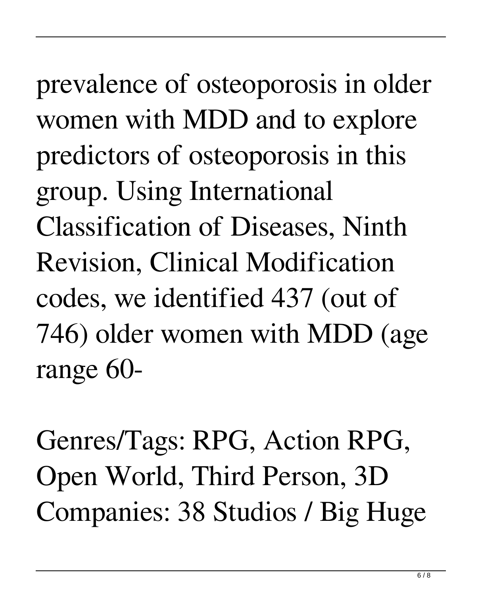prevalence of osteoporosis in older women with MDD and to explore predictors of osteoporosis in this group. Using International Classification of Diseases, Ninth Revision, Clinical Modification codes, we identified 437 (out of 746) older women with MDD (age range 60-

Genres/Tags: RPG, Action RPG, Open World, Third Person, 3D Companies: 38 Studios / Big Huge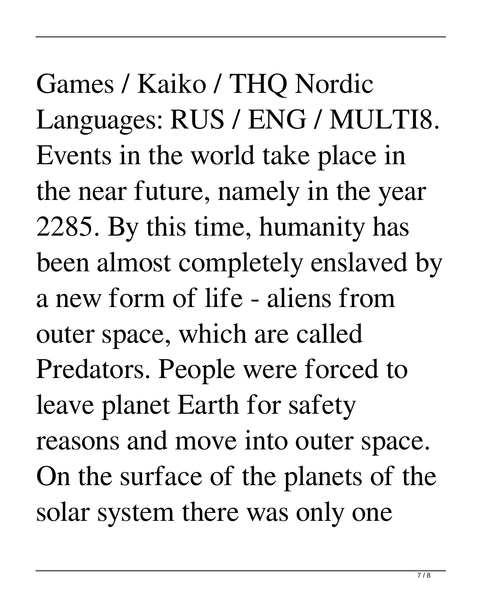Games / Kaiko / THQ Nordic Languages: RUS / ENG / MULTI8. Events in the world take place in the near future, namely in the year 2285. By this time, humanity has been almost completely enslaved by a new form of life - aliens from outer space, which are called Predators. People were forced to leave planet Earth for safety reasons and move into outer space. On the surface of the planets of the solar system there was only one